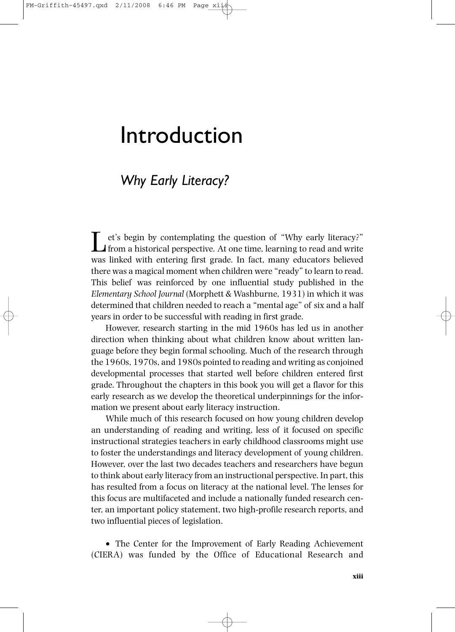# Introduction

# *Why Early Literacy?*

et's begin by contemplating the question of "Why early literacy?" from a historical perspective. At one time, learning to read and write was linked with entering first grade. In fact, many educators believed there was a magical moment when children were "ready" to learn to read. This belief was reinforced by one influential study published in the *Elementary School Journal* (Morphett & Washburne, 1931) in which it was determined that children needed to reach a "mental age" of six and a half years in order to be successful with reading in first grade.

However, research starting in the mid 1960s has led us in another direction when thinking about what children know about written language before they begin formal schooling. Much of the research through the 1960s, 1970s, and 1980s pointed to reading and writing as conjoined developmental processes that started well before children entered first grade. Throughout the chapters in this book you will get a flavor for this early research as we develop the theoretical underpinnings for the information we present about early literacy instruction.

While much of this research focused on how young children develop an understanding of reading and writing, less of it focused on specific instructional strategies teachers in early childhood classrooms might use to foster the understandings and literacy development of young children. However, over the last two decades teachers and researchers have begun to think about early literacy from an instructional perspective. In part, this has resulted from a focus on literacy at the national level. The lenses for this focus are multifaceted and include a nationally funded research center, an important policy statement, two high-profile research reports, and two influential pieces of legislation.

• The Center for the Improvement of Early Reading Achievement (CIERA) was funded by the Office of Educational Research and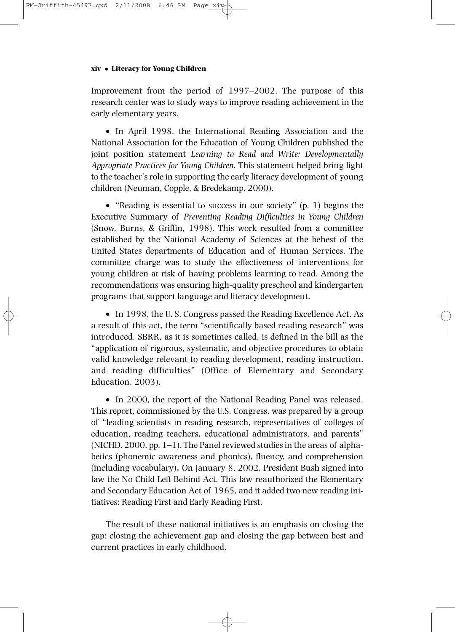#### **xiv** • **Literacy for Young Children**

Improvement from the period of 1997–2002. The purpose of this research center was to study ways to improve reading achievement in the early elementary years.

• In April 1998, the International Reading Association and the National Association for the Education of Young Children published the joint position statement *Learning to Read and Write: Developmentally Appropriate Practices for Young Children.* This statement helped bring light to the teacher's role in supporting the early literacy development of young children (Neuman, Copple, & Bredekamp, 2000).

• "Reading is essential to success in our society" (p. 1) begins the Executive Summary of *Preventing Reading Difficulties in Young Children* (Snow, Burns, & Griffin, 1998). This work resulted from a committee established by the National Academy of Sciences at the behest of the United States departments of Education and of Human Services. The committee charge was to study the effectiveness of interventions for young children at risk of having problems learning to read. Among the recommendations was ensuring high-quality preschool and kindergarten programs that support language and literacy development.

• In 1998, the U. S. Congress passed the Reading Excellence Act. As a result of this act, the term "scientifically based reading research" was introduced. SBRR, as it is sometimes called, is defined in the bill as the "application of rigorous, systematic, and objective procedures to obtain valid knowledge relevant to reading development, reading instruction, and reading difficulties" (Office of Elementary and Secondary Education, 2003).

• In 2000, the report of the National Reading Panel was released. This report, commissioned by the U.S. Congress, was prepared by a group of "leading scientists in reading research, representatives of colleges of education, reading teachers, educational administrators, and parents" (NICHD, 2000, pp. 1–1). The Panel reviewed studies in the areas of alphabetics (phonemic awareness and phonics), fluency, and comprehension (including vocabulary)**.** On January 8, 2002, President Bush signed into law the No Child Left Behind Act*.* This law reauthorized the Elementary and Secondary Education Act of 1965, and it added two new reading initiatives: Reading First and Early Reading First.

The result of these national initiatives is an emphasis on closing the gap: closing the achievement gap and closing the gap between best and current practices in early childhood.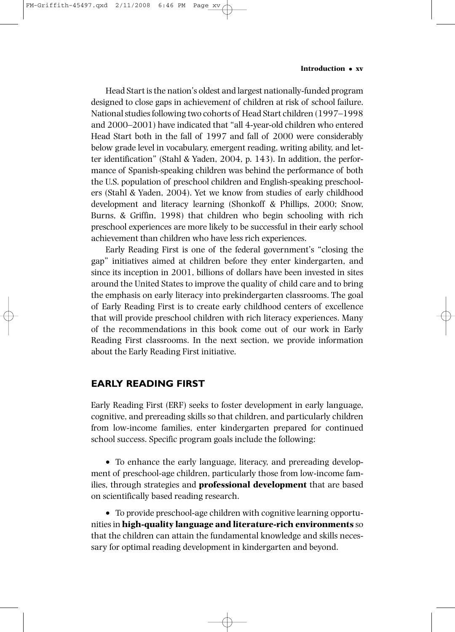#### **Introduction** • **xv**

Head Start is the nation's oldest and largest nationally-funded program designed to close gaps in achievemen*t* of children at risk of school failure. National studies following two cohorts of Head Start children (1997–1998 and 2000–2001) have indicated that "all 4-year-old children who entered Head Start both in the fall of 1997 and fall of 2000 were considerably below grade level in vocabulary, emergent reading, writing ability, and letter identification" (Stahl & Yaden, 2004, p. 143). In addition, the performance of Spanish-speaking children was behind the performance of both the U.S. population of preschool children and English-speaking preschoolers (Stahl & Yaden, 2004). Yet we know from studies of early childhood development and literacy learning (Shonkoff & Phillips, 2000; Snow, Burns, & Griffin, 1998) that children who begin schooling with rich preschool experiences are more likely to be successful in their early school achievement than children who have less rich experiences.

Early Reading First is one of the federal government's "closing the gap" initiatives aimed at children before they enter kindergarten, and since its inception in 2001, billions of dollars have been invested in sites around the United States to improve the quality of child care and to bring the emphasis on early literacy into prekindergarten classrooms. The goal of Early Reading First is to create early childhood centers of excellence that will provide preschool children with rich literacy experiences. Many of the recommendations in this book come out of our work in Early Reading First classrooms. In the next section, we provide information about the Early Reading First initiative.

### **EARLY READING FIRST**

Early Reading First (ERF) seeks to foster development in early language, cognitive, and prereading skills so that children, and particularly children from low-income families, enter kindergarten prepared for continued school success. Specific program goals include the following:

• To enhance the early language, literacy, and prereading development of preschool-age children, particularly those from low-income families, through strategies and **professional development** that are based on scientifically based reading research.

• To provide preschool-age children with cognitive learning opportunities in **high-quality language and literature-rich environments** so that the children can attain the fundamental knowledge and skills necessary for optimal reading development in kindergarten and beyond.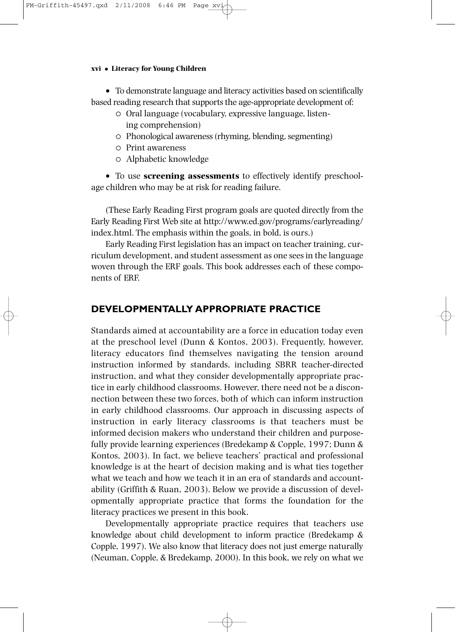#### **xvi** • **Literacy for Young Children**

• To demonstrate language and literacy activities based on scientifically based reading research that supports the age-appropriate development of:

- Oral language (vocabulary, expressive language, listening comprehension)
- Phonological awareness (rhyming, blending, segmenting)
- Print awareness
- Alphabetic knowledge

• To use **screening assessments** to effectively identify preschoolage children who may be at risk for reading failure.

(These Early Reading First program goals are quoted directly from the Early Reading First Web site at http://www.ed.gov/programs/earlyreading/ index.html. The emphasis within the goals, in bold, is ours.)

Early Reading First legislation has an impact on teacher training, curriculum development, and student assessment as one sees in the language woven through the ERF goals. This book addresses each of these components of ERF.

# **DEVELOPMENTALLY APPROPRIATE PRACTICE**

Standards aimed at accountability are a force in education today even at the preschool level (Dunn & Kontos, 2003). Frequently, however, literacy educators find themselves navigating the tension around instruction informed by standards, including SBRR teacher-directed instruction, and what they consider developmentally appropriate practice in early childhood classrooms. However, there need not be a disconnection between these two forces, both of which can inform instruction in early childhood classrooms. Our approach in discussing aspects of instruction in early literacy classrooms is that teachers must be informed decision makers who understand their children and purposefully provide learning experiences (Bredekamp & Copple, 1997; Dunn & Kontos, 2003). In fact, we believe teachers' practical and professional knowledge is at the heart of decision making and is what ties together what we teach and how we teach it in an era of standards and accountability (Griffith & Ruan, 2003). Below we provide a discussion of developmentally appropriate practice that forms the foundation for the literacy practices we present in this book.

Developmentally appropriate practice requires that teachers use knowledge about child development to inform practice (Bredekamp & Copple, 1997). We also know that literacy does not just emerge naturally (Neuman, Copple, & Bredekamp, 2000). In this book, we rely on what we